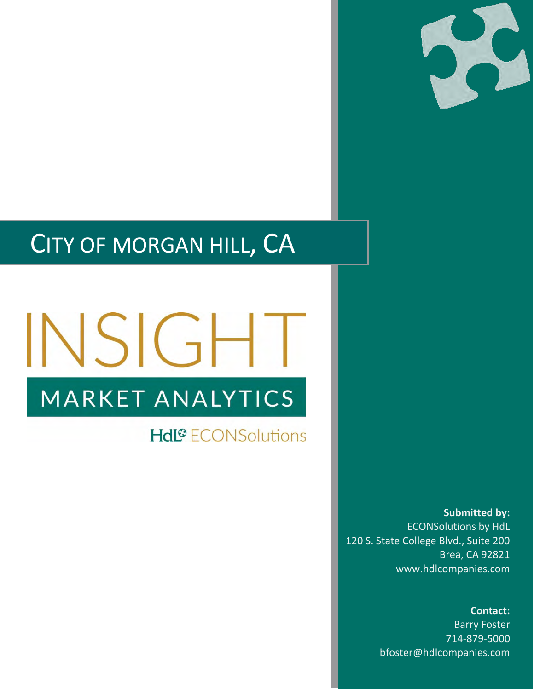

## CITY OF MORGAN HILL, CA

# INSIGHT MARKET ANALYTICS

**Hdl<sup>®</sup>** ECONSolutions

**Submitted by:** ECONSolutions by HdL 120 S. State College Blvd., Suite 200 Brea, CA 92821 [www.hdlcompanies.com](http://www.hdlcompanies.com/)

> **Contact:** Barry Foster 714-879-5000 bfoster@hdlcompanies.com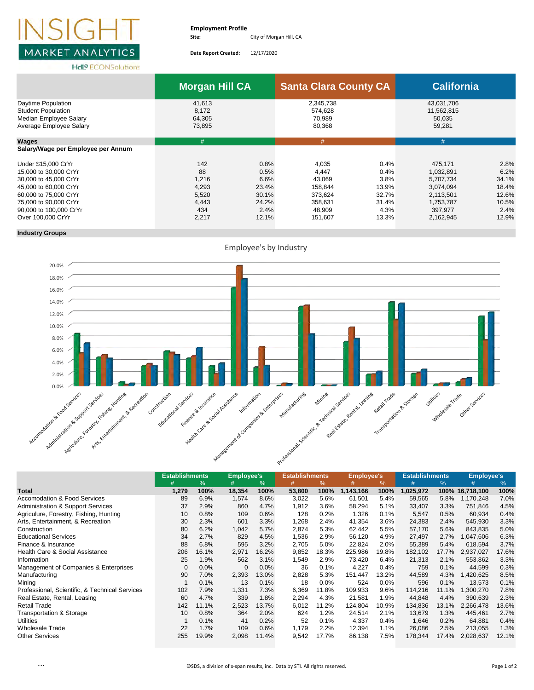

**Date Report Created:** 12/17/2020

**HdL<sup>®</sup>** ECONSolutions

|                                                                                                                                                                                                 | <b>Morgan Hill CA</b>                                         |                                                                  | <b>Santa Clara County CA</b>                                                   |                                                                  | <b>California</b>                                                                                |                                                                   |
|-------------------------------------------------------------------------------------------------------------------------------------------------------------------------------------------------|---------------------------------------------------------------|------------------------------------------------------------------|--------------------------------------------------------------------------------|------------------------------------------------------------------|--------------------------------------------------------------------------------------------------|-------------------------------------------------------------------|
| Daytime Population<br><b>Student Population</b><br>Median Employee Salary<br>Average Employee Salary                                                                                            | 41,613<br>8.172<br>64,305<br>73,895                           |                                                                  | 2,345,738<br>574,628<br>70,989<br>80,368                                       |                                                                  | 43,031,706<br>11,562,815<br>50,035<br>59,281                                                     |                                                                   |
| Wages                                                                                                                                                                                           | #                                                             |                                                                  | #                                                                              |                                                                  | #                                                                                                |                                                                   |
| Salary/Wage per Employee per Annum                                                                                                                                                              |                                                               |                                                                  |                                                                                |                                                                  |                                                                                                  |                                                                   |
| Under \$15,000 CrYr<br>15,000 to 30,000 CrYr<br>30,000 to 45,000 CrYr<br>45,000 to 60,000 CrYr<br>60,000 to 75,000 CrYr<br>75,000 to 90,000 CrYr<br>90,000 to 100,000 CrYr<br>Over 100,000 CrYr | 142<br>88<br>1,216<br>4,293<br>5,520<br>4,443<br>434<br>2,217 | 0.8%<br>0.5%<br>6.6%<br>23.4%<br>30.1%<br>24.2%<br>2.4%<br>12.1% | 4.035<br>4,447<br>43,069<br>158,844<br>373.624<br>358,631<br>48.909<br>151,607 | 0.4%<br>0.4%<br>3.8%<br>13.9%<br>32.7%<br>31.4%<br>4.3%<br>13.3% | 475.171<br>1,032,891<br>5,707,734<br>3,074,094<br>2.113.501<br>1,753,787<br>397,977<br>2,162,945 | 2.8%<br>6.2%<br>34.1%<br>18.4%<br>12.6%<br>10.5%<br>2.4%<br>12.9% |

### **Industry Groups**



|                                                | <b>Establishments</b> |       | <b>Employee's</b> |               | <b>Establishments</b> |       | <b>Employee's</b> |       | <b>Establishments</b> |       | <b>Employee's</b> |       |
|------------------------------------------------|-----------------------|-------|-------------------|---------------|-----------------------|-------|-------------------|-------|-----------------------|-------|-------------------|-------|
|                                                |                       | %     | #                 | $\frac{9}{6}$ | #                     | ℅     | #                 | %     | #                     | %     | #                 | $\%$  |
| <b>Total</b>                                   | 1,279                 | 100%  | 18,354            | 100%          | 53,800                | 100%  | 1,143,166         | 100%  | 1,025,972             | 100%  | 16,718,100        | 100%  |
| <b>Accomodation &amp; Food Services</b>        | 89                    | 6.9%  | 1,574             | 8.6%          | 3,022                 | 5.6%  | 61,501            | 5.4%  | 59,565                | 5.8%  | 1,170,248         | 7.0%  |
| <b>Administration &amp; Support Services</b>   | 37                    | 2.9%  | 860               | 4.7%          | 1,912                 | 3.6%  | 58,294            | 5.1%  | 33,407                | 3.3%  | 751,846           | 4.5%  |
| Agriculure, Forestry, Fishing, Hunting         | 10                    | 0.8%  | 109               | 0.6%          | 128                   | 0.2%  | 1,326             | 0.1%  | 5,547                 | 0.5%  | 60,934            | 0.4%  |
| Arts, Entertainment, & Recreation              | 30                    | 2.3%  | 601               | 3.3%          | 1,268                 | 2.4%  | 41,354            | 3.6%  | 24,383                | 2.4%  | 545,930           | 3.3%  |
| Construction                                   | 80                    | 6.2%  | 1,042             | 5.7%          | 2,874                 | 5.3%  | 62,442            | 5.5%  | 57,170                | 5.6%  | 843,835           | 5.0%  |
| <b>Educational Services</b>                    | 34                    | 2.7%  | 829               | 4.5%          | 1,536                 | 2.9%  | 56,120            | 4.9%  | 27,497                | 2.7%  | 1,047,606         | 6.3%  |
| Finance & Insurance                            | 88                    | 6.8%  | 595               | 3.2%          | 2,705                 | 5.0%  | 22,824            | 2.0%  | 55,389                | 5.4%  | 618,594           | 3.7%  |
| Health Care & Social Assistance                | 206                   | 16.1% | 2,971             | 16.2%         | 9,852                 | 18.3% | 225,986           | 19.8% | 182,102               | 17.7% | 2,937,027         | 17.6% |
| Information                                    | 25                    | 1.9%  | 562               | 3.1%          | 1,549                 | 2.9%  | 73,420            | 6.4%  | 21,313                | 2.1%  | 553,862           | 3.3%  |
| Management of Companies & Enterprises          | 0                     | 0.0%  | 0                 | 0.0%          | 36                    | 0.1%  | 4,227             | 0.4%  | 759                   | 0.1%  | 44,599            | 0.3%  |
| Manufacturing                                  | 90                    | 7.0%  | 2,393             | 13.0%         | 2,828                 | 5.3%  | 151,447           | 13.2% | 44,589                | 4.3%  | 1,420,625         | 8.5%  |
| Mining                                         |                       | 0.1%  | 13                | 0.1%          | 18                    | 0.0%  | 524               | 0.0%  | 596                   | 0.1%  | 13,573            | 0.1%  |
| Professional, Scientific, & Technical Services | 102                   | 7.9%  | 1,331             | 7.3%          | 6,369                 | 11.8% | 109,933           | 9.6%  | 114,216               | 11.1% | 1,300,270         | 7.8%  |
| Real Estate, Rental, Leasing                   | 60                    | 4.7%  | 339               | 1.8%          | 2,294                 | 4.3%  | 21,581            | 1.9%  | 44,848                | 4.4%  | 390,639           | 2.3%  |
| <b>Retail Trade</b>                            | 142                   | 11.1% | 2,523             | 13.7%         | 6,012                 | 11.2% | 124,804           | 10.9% | 134,836               | 13.1% | 2,266,478         | 13.6% |
| Transportation & Storage                       | 10                    | 0.8%  | 364               | 2.0%          | 624                   | 1.2%  | 24,514            | 2.1%  | 13,679                | 1.3%  | 445,461           | 2.7%  |
| <b>Utilities</b>                               |                       | 0.1%  | 41                | 0.2%          | 52                    | 0.1%  | 4,337             | 0.4%  | 1,646                 | 0.2%  | 64,881            | 0.4%  |
| <b>Wholesale Trade</b>                         | 22                    | 1.7%  | 109               | 0.6%          | 1,179                 | 2.2%  | 12,394            | 1.1%  | 26,086                | 2.5%  | 213,055           | 1.3%  |
| <b>Other Services</b>                          | 255                   | 19.9% | 2,098             | 11.4%         | 9,542                 | 17.7% | 86,138            | 7.5%  | 178,344               | 17.4% | 2,028,637         | 12.1% |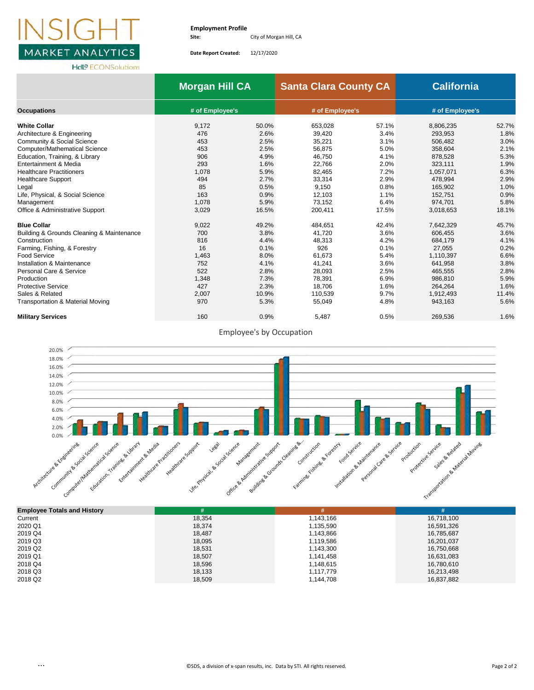

**Date Report Created:** 12/17/2020

|                                             | <b>Morgan Hill CA</b> |       | <b>Santa Clara County CA</b> |       | <b>California</b> |       |  |  |
|---------------------------------------------|-----------------------|-------|------------------------------|-------|-------------------|-------|--|--|
| <b>Occupations</b>                          | # of Employee's       |       | # of Employee's              |       | # of Employee's   |       |  |  |
| <b>White Collar</b>                         | 9,172                 | 50.0% | 653,028                      | 57.1% | 8,806,235         | 52.7% |  |  |
| Architecture & Engineering                  | 476                   | 2.6%  | 39,420                       | 3.4%  | 293,953           | 1.8%  |  |  |
| Community & Social Science                  | 453                   | 2.5%  | 35.221                       | 3.1%  | 506.482           | 3.0%  |  |  |
| <b>Computer/Mathematical Science</b>        | 453                   | 2.5%  | 56,875                       | 5.0%  | 358.604           | 2.1%  |  |  |
| Education, Training, & Library              | 906                   | 4.9%  | 46,750                       | 4.1%  | 878,528           | 5.3%  |  |  |
| Entertainment & Media                       | 293                   | 1.6%  | 22,766                       | 2.0%  | 323,111           | 1.9%  |  |  |
| <b>Healthcare Practitioners</b>             | 1,078                 | 5.9%  | 82,465                       | 7.2%  | 1,057,071         | 6.3%  |  |  |
| <b>Healthcare Support</b>                   | 494                   | 2.7%  | 33,314                       | 2.9%  | 478,994           | 2.9%  |  |  |
| Legal                                       | 85                    | 0.5%  | 9,150                        | 0.8%  | 165,902           | 1.0%  |  |  |
| Life, Physical, & Social Science            | 163                   | 0.9%  | 12,103                       | 1.1%  | 152,751           | 0.9%  |  |  |
| Management                                  | 1.078                 | 5.9%  | 73.152                       | 6.4%  | 974.701           | 5.8%  |  |  |
| Office & Administrative Support             | 3,029                 | 16.5% | 200.411                      | 17.5% | 3,018,653         | 18.1% |  |  |
| <b>Blue Collar</b>                          | 9,022                 | 49.2% | 484.651                      | 42.4% | 7,642,329         | 45.7% |  |  |
| Building & Grounds Cleaning & Maintenance   | 700                   | 3.8%  | 41.720                       | 3.6%  | 606,455           | 3.6%  |  |  |
| Construction                                | 816                   | 4.4%  | 48,313                       | 4.2%  | 684.179           | 4.1%  |  |  |
| Farming, Fishing, & Forestry                | 16                    | 0.1%  | 926                          | 0.1%  | 27,055            | 0.2%  |  |  |
| <b>Food Service</b>                         | 1,463                 | 8.0%  | 61,673                       | 5.4%  | 1,110,397         | 6.6%  |  |  |
| Installation & Maintenance                  | 752                   | 4.1%  | 41,241                       | 3.6%  | 641,958           | 3.8%  |  |  |
| Personal Care & Service                     | 522                   | 2.8%  | 28,093                       | 2.5%  | 465,555           | 2.8%  |  |  |
| Production                                  | 1,348                 | 7.3%  | 78,391                       | 6.9%  | 986,810           | 5.9%  |  |  |
| <b>Protective Service</b>                   | 427                   | 2.3%  | 18.706                       | 1.6%  | 264.264           | 1.6%  |  |  |
| Sales & Related                             | 2,007                 | 10.9% | 110.539                      | 9.7%  | 1,912,493         | 11.4% |  |  |
| <b>Transportation &amp; Material Moving</b> | 970                   | 5.3%  | 55,049                       | 4.8%  | 943,163           | 5.6%  |  |  |
| <b>Military Services</b>                    | 160                   | 0.9%  | 5,487                        | 0.5%  | 269,536           | 1.6%  |  |  |





| <b>Employee Totals and History</b> |        |           | #          |
|------------------------------------|--------|-----------|------------|
| Current                            | 18.354 | 1.143.166 | 16,718,100 |
| 2020 Q1                            | 18.374 | 1,135,590 | 16,591,326 |
| 2019 Q4                            | 18.487 | 1,143,866 | 16,785,687 |
| 2019 Q3                            | 18.095 | 1,119,586 | 16,201,037 |
| 2019 Q2                            | 18,531 | 1,143,300 | 16,750,668 |
| 2019 Q1                            | 18.507 | 1,141,458 | 16,631,083 |
| 2018 Q4                            | 18,596 | 1,148,615 | 16,780,610 |
| 2018 Q3                            | 18,133 | 1,117,779 | 16,213,498 |
| 2018 Q <sub>2</sub>                | 18,509 | 1,144,708 | 16,837,882 |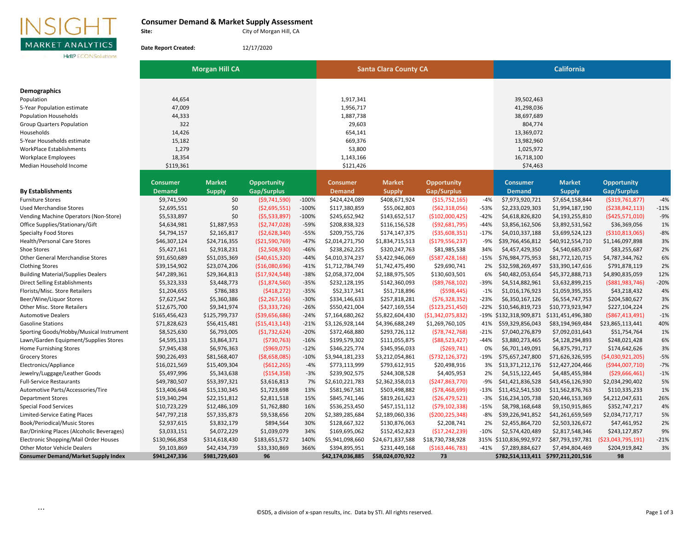## INSIGH L **MARKET ANALYTICS**

#### **Consumer Demand & Market Supply Assessment**

**Hdl<sup>®</sup> ECONSolutions** 

**Site:**

**Date Report Created:**

City of Morgan Hill, CA

12/17/2020

**Demographics** Population 44,654 1,917,341 39,502,463 5-Year Population estimate and the state and the 47,009 1,956,717 1,956,717 1,956,717 1,956,717 1,979,036 1,298,036 Population Households 44,333 1,887,738 38,697,689 Group Quarters Population 304,774 804,774 Households 14,426 654,141 13,369,072 5-Year Households estimate 15,182 669,376 13,982,960 WorkPlace Establishments 1,279 53,800 1,025,972 Workplace Employees 18,354 1,143,166 16,718,100 Median Household Income \$119,361 \$121,426 \$74,463 **Consumer Market Opportunity Consumer Market Opportunity Consumer Market Opportunity By Establishments Demand Supply Gap/Surplus Demand Supply Gap/Surplus Demand Supply Gap/Surplus** Furniture Stores \$9,741,590 \$0 (\$9,741,590) -100% \$424,424,089 \$408,671,924 (\$15,752,165) -4% \$7,973,920,721 \$7,654,158,844 (\$319,761,877) -4% Used Merchandise Stores \$2,695,551 \$0 (\$2,695,551) 100% \$117,380,859 \$55,062,803 (\$62,318,056) -53% \$2,233,029,303 \$1,994,187,190 (\$238,842,113) -11% Vending Machine Operators (Non-Store) \$5,533,897 \$1 (\$5,533,897) -100% \$245,652,942 \$143,652,517 (\$102,000,425) -42% \$4,618,826,820 \$4,193,255,810 (\$425,571,010) -9% Office Supplies/Stationary/Gift \$4,634,981 \$1,887,953 (\$2,747,028) -59% \$208,838,323 \$116,156,528 (\$92,681,795) -44% \$3,856,162,506 \$3,892,531,562 \$36,369,056 1% Specialty Food Stores \$4,794,157 \$2,165,817 (\$2,628,340) -55% \$209,755,726 \$174,147,375 (\$35,608,351) -17% \$4,010,337,188 \$3,699,524,123 (\$310,813,065) -8% Health/Personal Care Stores \$46,307,124 \$24,716,355 (\$21,590,769) -47% \$2,014,271,750 \$1,834,715,513 (\$179,556,237) -9% \$39,766,456,812 \$40,912,554,710 \$1,146,097,898 3% Shoe Stores \$5,427,161 \$2,918,231 (\$2,508,930) -46% \$238,262,225 \$320,247,763 \$81,985,538 34% \$4,457,429,350 \$4,540,685,037 \$83,255,687 2% Other General Merchandise Stores 686,778,344,762 53,420,5369 (\$40,615,320) -44% \$4,010,374,237 \$3,422,946,069 (\$587,428,168) -15% \$76,984,775,953 \$81,772,120,715 \$4,787,344,762 6% Clothing Stores \$39,154,902 \$23,074,206 (\$16,080,696) -41% \$1,712,784,749 \$1,742,475,490 \$29,690,741 2% \$32,598,269,497 \$33,390,147,616 \$791,878,119 2% Building Material/Supplies Dealers 647,289,361 \$29,364,813 (\$17,924,548) -38% \$2,058,372,004 \$2,188,975,505 \$130,603,501 6% \$40,482,053,654 \$45,372,888,713 \$4,890,835,059 12% Direct Selling Establishments \$5,323,333 \$3,448,773 (\$1,874,560) -35% \$232,128,195 \$142,360,093 (\$89,768,102) -39% \$4,514,882,961 \$3,632,899,215 (\$881,983,746) -20% Florists/Misc. Store Retailers \$1,204,655 \$786,383 (\$418,272) -35% \$52,317,341 \$51,718,896 (\$598,445) -1% \$1,016,176,923 \$1,059,395,355 \$43,218,432 4% Beer/Wine/Liquor Stores \$7,627,542 \$5,360,386 (\$2,267,156) -30% \$334,146,633 \$257,818,281 (\$76,328,352) -23% \$6,350,167,126 \$6,554,747,753 \$204,580,627 3% Other Misc. Store Retailers \$12,675,700 \$9,341,974 (\$3,333,726) -26% \$550,421,004 \$427,169,554 (\$123,251,450) -22% \$10,546,819,723 \$10,773,923,947 \$227,104,224 2% Automotive Dealers \$165,456,423 \$125,799,737 (\$39,656,686) -24% \$7,164,680,262 \$5,822,604,430 (\$1,342,075,832) -19% \$132,318,909,871 \$131,451,496,380 (\$867,413,491) -1% Gasoline Stations \$71,828,623 \$56,415,481 (\$15,413,143) -21% \$3,126,928,144 \$4,396,688,249 \$1,269,760,105 41% \$59,329,856,043 \$83,194,969,484 \$23,865,113,441 40% Sporting Goods/Hobby/Musical Instrument \$8,525,630 \$6,793,005 (\$1,732,624) -20% \$372,468,880 \$293,726,112 (\$78,742,768) -21% \$7,040,276,879 \$7,092,031,643 \$51,754,764 1% Lawn/Garden Equipment/Supplies Stores \$4,595,133 \$3,864,371 (\$730,763) -16% \$199,579,302 \$111,055,875 (\$88,523,427) -44% \$3,880,273,465 \$4,128,294,893 \$248,021,428 6% Home Furnishing Stores \$7,945,438 \$6,976,363 (\$969,075) -12% \$346,225,774 \$345,956,033 (\$269,741) 0% \$6,701,149,091 \$6,875,791,717 \$174,642,626 3% Grocery Stores \$90,226,493 \$81,568,407 (\$8,658,085) -10% \$3,944,181,233 \$3,212,054,861 (\$732,126,372) -19% \$75,657,247,800 \$71,626,326,595 (\$4,030,921,205) -5% Electronics/Appliance \$16,021,569 \$15,409,304 (\$612,265) -4% \$773,113,999 \$793,612,915 \$20,498,916 3% \$13,371,212,176 \$12,427,204,466 (\$944,007,710) -7% Jewelry/Luggage/Leather Goods \$5,497,996 \$5,343,638 (\$154,358) -3% \$239,902,575 \$244,308,528 \$4,405,953 2% \$4,515,122,445 \$4,485,455,984 (\$29,666,461) -1% Full-Service Restaurants \$49,780,507 \$53,397,321 \$3,616,813 7% \$2,610,221,783 \$2,362,358,013 (\$247,863,770) -9% \$41,421,836,528 \$43,456,126,930 \$2,034,290,402 5% Automotive Parts/Accessories/Tire \$13,406,648 \$15,130,345 \$1,723,698 13% \$581,967,581 \$503,498,882 (\$78,468,699) -13% \$11,452,541,530 \$11,562,876,763 \$110,335,233 1% Department Stores \$19,340,294 \$22,151,812 \$2,811,518 15% \$845,741,146 \$819,261,623 (\$26,479,523) -3% \$16,234,105,738 \$20,446,153,369 \$4,212,047,631 26% Special Food Services \$10,723,229 \$12,486,109 \$1,762,880 16% \$536,253,450 \$457,151,112 (\$79,102,338) -15% \$8,798,168,648 \$9,150,915,865 \$352,747,217 4% Limited-Service Eating Places \$47,797,218 \$57,335,873 \$9,538,656 20% \$2,389,285,684 \$2,189,060,336 (\$200,225,348) -8% \$39,226,941,852 \$41,261,659,569 \$2,034,717,717 5% Book/Periodical/Music Stores \$2,937,615 \$3,832,179 \$894,564 30% \$128,667,322 \$130,876,063 \$2,208,741 2% \$2,455,864,720 \$2,503,326,672 \$47,461,952 2% Bar/Drinking Places (Alcoholic Beverages) \$3,033,151 \$4,072,229 \$1,039,079 34% \$169,695,062 \$152,452,823 (\$17,242,239) -10% \$2,574,420,489 \$2,817,548,346 \$243,127,857 9% Electronic Shopping/Mail Order Houses \$130,966,858 \$314,618,430 \$183,651,572 140% \$5,941,098,660 \$24,671,837,588 \$18,730,738,928 315% \$110,836,992,972 \$87,793,197,781 (\$23,043,795,191) -21% Other Motor Vehicle Dealers \$9,103,869 \$42,434,739 \$33,330,869 366% \$394,895,951 \$231,449,168 (\$163,446,783) -41% \$7,289,884,627 \$7,494,804,469 \$204,919,842 3% **Consumer Demand/Market Supply Index \$941,247,336 \$981,729,603 96 \$42,174,036,885 \$58,024,070,922 73 \$782,514,113,411 \$797,211,201,516 98 Morgan Hill CA Santa Clara County CA Santa Clara County CA Santa Clara County CA California**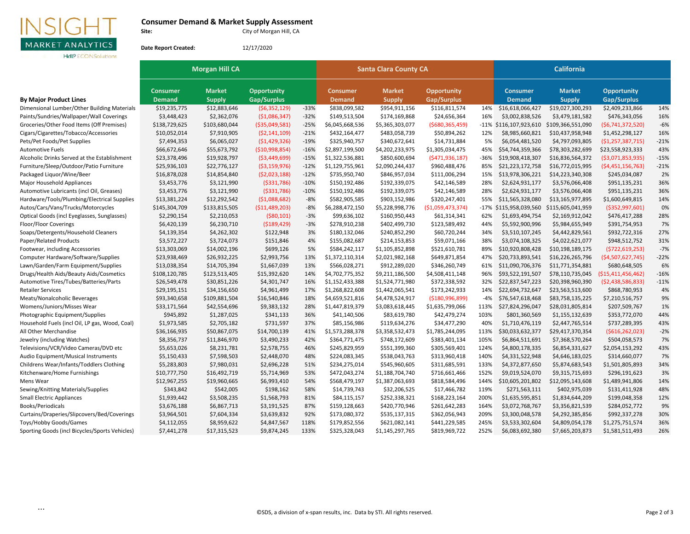

## **Consumer Demand & Market Supply Assessment**

City of Morgan Hill, CA

**Hdl<sup>9</sup>** ECONSolutions

**Site:**

**Date Report Created:** 12/17/2020

|                                                | <b>Morgan Hill CA</b> |               |                    |        |                 | <b>Santa Clara County CA</b> |                    | <b>California</b> |                   |                   |                     |        |
|------------------------------------------------|-----------------------|---------------|--------------------|--------|-----------------|------------------------------|--------------------|-------------------|-------------------|-------------------|---------------------|--------|
|                                                | <b>Consumer</b>       | <b>Market</b> | <b>Opportunity</b> |        | <b>Consumer</b> | <b>Market</b>                | <b>Opportunity</b> |                   | <b>Consumer</b>   | <b>Market</b>     | <b>Opportunity</b>  |        |
| <b>By Major Product Lines</b>                  | <b>Demand</b>         | <b>Supply</b> | <b>Gap/Surplus</b> |        | <b>Demand</b>   | <b>Supply</b>                | Gap/Surplus        |                   | <b>Demand</b>     | <b>Supply</b>     | Gap/Surplus         |        |
| Dimensional Lumber/Other Building Materials    | \$19,235,775          | \$12,883,646  | (\$6,352,129)      | $-33%$ | \$838,099,582   | \$954,911,156                | \$116,811,574      | 14%               | \$16,618,066,427  | \$19,027,300,293  | \$2,409,233,866     | 14%    |
| Paints/Sundries/Wallpaper/Wall Coverings       | \$3,448,423           | \$2,362,076   | ( \$1,086,347)     | $-32%$ | \$149,513,504   | \$174,169,868                | \$24,656,364       | 16%               | \$3,002,838,526   | \$3,479,181,582   | \$476,343,056       | 16%    |
| Groceries/Other Food Items (Off Premises)      | \$138,729,625         | \$103,680,044 | ( \$35,049,581)    | $-25%$ | \$6,045,668,536 | \$5,365,303,077              | ( \$680, 365, 459) | $-11%$            | \$116,107,923,610 | \$109,366,551,090 | (56, 741, 372, 520) | $-6%$  |
| Cigars/Cigarettes/Tobacco/Accessories          | \$10,052,014          | \$7,910,905   | (52, 141, 109)     | $-21%$ | \$432,164,477   | \$483,058,739                | \$50,894,262       | 12%               | \$8,985,660,821   | \$10,437,958,948  | \$1,452,298,127     | 16%    |
| Pets/Pet Foods/Pet Supplies                    | \$7,494,353           | \$6,065,027   | (51, 429, 326)     | $-19%$ | \$325,940,757   | \$340,672,641                | \$14,731,884       | 5%                | \$6,054,481,520   | \$4,797,093,805   | (51, 257, 387, 715) | $-21%$ |
| <b>Automotive Fuels</b>                        | \$66,672,646          | \$55,673,792  | ( \$10,998,854)    | $-16%$ | \$2,897,199,500 | \$4,202,233,975              | \$1,305,034,475    | 45%               | \$54,744,359,366  | \$78,303,282,699  | \$23,558,923,333    | 43%    |
| Alcoholic Drinks Served at the Establishment   | \$23,378,496          | \$19,928,797  | ( \$3,449,699)     | $-15%$ | \$1,322,536,881 | \$850,600,694                | (5471, 936, 187)   | -36%              | \$19,908,418,307  | \$16,836,564,372  | ( \$3,071,853,935)  | $-15%$ |
| Furniture/Sleep/Outdoor/Patio Furniture        | \$25,936,103          | \$22,776,127  | (53, 159, 976)     | $-12%$ | \$1,129,755,961 | \$2,090,244,437              | \$960,488,476      | 85%               | \$21,223,172,758  | \$16,772,015,995  | (54, 451, 156, 763) | $-21%$ |
| Packaged Liquor/Wine/Beer                      | \$16,878,028          | \$14,854,840  | (52,023,188)       | $-12%$ | \$735,950,740   | \$846,957,034                | \$111,006,294      | 15%               | \$13,978,306,221  | \$14,223,340,308  | \$245,034,087       | 2%     |
| Major Household Appliances                     | \$3,453,776           | \$3,121,990   | ( \$331, 786)      | $-10%$ | \$150,192,486   | \$192,339,075                | \$42,146,589       | 28%               | \$2,624,931,177   | \$3,576,066,408   | \$951,135,231       | 36%    |
| Automotive Lubricants (incl Oil, Greases)      | \$3,453,776           | \$3,121,990   | ( \$331, 786)      | $-10%$ | \$150,192,486   | \$192,339,075                | \$42,146,589       | 28%               | \$2,624,931,177   | \$3,576,066,408   | \$951,135,231       | 36%    |
| Hardware/Tools/Plumbing/Electrical Supplies    | \$13,381,224          | \$12,292,542  | (51,088,682)       | $-8%$  | \$582,905,585   | \$903,152,986                | \$320,247,401      | 55%               | \$11,565,328,080  | \$13,165,977,895  | \$1,600,649,815     | 14%    |
| Autos/Cars/Vans/Trucks/Motorcycles             | \$145,304,709         | \$133,815,505 | ( \$11,489,203)    | $-8%$  | \$6,288,472,150 | \$5,228,998,776              | ( \$1,059,473,374) | $-17%$            | \$115,958,039,560 | \$115,605,041,959 | ( \$352, 997, 601)  | 0%     |
| Optical Goods (incl Eyeglasses, Sunglasses)    | \$2,290,154           | \$2,210,053   | ( \$80, 101)       | $-3%$  | \$99,636,102    | \$160,950,443                | \$61,314,341       | 62%               | \$1,693,494,754   | \$2,169,912,042   | \$476,417,288       | 28%    |
| <b>Floor/Floor Coverings</b>                   | \$6,420,139           | \$6,230,710   | ( \$189, 429)      | $-3%$  | \$278,910,238   | \$402,499,730                | \$123,589,492      | 44%               | \$5,592,900,996   | \$5,984,655,949   | \$391,754,953       | 7%     |
| Soaps/Detergents/Household Cleaners            | \$4,139,354           | \$4,262,302   | \$122,948          | 3%     | \$180,132,046   | \$240,852,290                | \$60,720,244       | 34%               | \$3,510,107,245   | \$4,442,829,561   | \$932,722,316       | 27%    |
| Paper/Related Products                         | \$3,572,227           | \$3,724,073   | \$151,846          | 4%     | \$155,082,687   | \$214,153,853                | \$59,071,166       | 38%               | \$3,074,108,325   | \$4,022,621,077   | \$948,512,752       | 31%    |
| Footwear, including Accessories                | \$13,303,069          | \$14,002,196  | \$699,126          | 5%     | \$584,242,117   | \$1,105,852,898              | \$521,610,781      | 89%               | \$10,920,808,428  | \$10,198,189,175  | ( \$722, 619, 253)  | $-7%$  |
| Computer Hardware/Software/Supplies            | \$23,938,469          | \$26,932,225  | \$2,993,756        | 13%    | \$1,372,110,314 | \$2,021,982,168              | \$649,871,854      | 47%               | \$20,733,893,541  | \$16,226,265,796  | (\$4,507,627,745)   | $-22%$ |
| Lawn/Garden/Farm Equipment/Supplies            | \$13,038,354          | \$14,705,394  | \$1,667,039        | 13%    | \$566,028,271   | \$912,289,020                | \$346,260,749      | 61%               | \$11,090,706,376  | \$11,771,354,881  | \$680,648,505       | 6%     |
| Drugs/Health Aids/Beauty Aids/Cosmetics        | \$108,120,785         | \$123,513,405 | \$15,392,620       | 14%    | \$4,702,775,352 | \$9,211,186,500              | \$4,508,411,148    | 96%               | \$93,522,191,507  | \$78,110,735,045  | (\$15,411,456,462)  | $-16%$ |
| Automotive Tires/Tubes/Batteries/Parts         | \$26,549,478          | \$30,851,226  | \$4,301,747        | 16%    | \$1,152,433,388 | \$1,524,771,980              | \$372,338,592      | 32%               | \$22,837,547,223  | \$20,398,960,390  | (52, 438, 586, 833) | $-11%$ |
| <b>Retailer Services</b>                       | \$29,195,151          | \$34,156,650  | \$4,961,499        | 17%    | \$1,268,822,608 | \$1,442,065,541              | \$173,242,933      | 14%               | \$22,694,732,647  | \$23,563,513,600  | \$868,780,953       | 4%     |
| Meats/Nonalcoholic Beverages                   | \$93,340,658          | \$109,881,504 | \$16,540,846       | 18%    | \$4,659,521,816 | \$4,478,524,917              | (\$180,996,899)    | $-4%$             | \$76,547,618,468  | \$83,758,135,225  | \$7,210,516,757     | 9%     |
| Womens/Juniors/Misses Wear                     | \$33,171,564          | \$42,554,696  | \$9,383,132        | 28%    | \$1,447,819,379 | \$3,083,618,445              | \$1,635,799,066    | 113%              | \$27,824,296,047  | \$28,031,805,814  | \$207,509,767       | 1%     |
| Photographic Equipment/Supplies                | \$945,892             | \$1,287,025   | \$341,133          | 36%    | \$41,140,506    | \$83,619,780                 | \$42,479,274       | 103%              | \$801,360,569     | \$1,155,132,639   | \$353,772,070       | 44%    |
| Household Fuels (incl Oil, LP gas, Wood, Coal) | \$1,973,585           | \$2,705,182   | \$731,597          | 37%    | \$85,156,986    | \$119,634,276                | \$34,477,290       | 40%               | \$1,710,476,119   | \$2,447,765,514   | \$737,289,395       | 43%    |
| All Other Merchandise                          | \$36,166,935          | \$50,867,075  | \$14,700,139       | 41%    | \$1,573,288,378 | \$3,358,532,473              | \$1,785,244,095    | 113%              | \$30,033,632,377  | \$29,417,370,354  | ( \$616, 262, 023)  | $-2%$  |
| Jewelry (including Watches)                    | \$8,356,737           | \$11,846,970  | \$3,490,233        | 42%    | \$364,771,475   | \$748,172,609                | \$383,401,134      | 105%              | \$6,864,511,691   | \$7,368,570,264   | \$504,058,573       | 7%     |
| Televisions/VCR/Video Cameras/DVD etc          | \$5,653,026           | \$8,231,781   | \$2,578,755        | 46%    | \$245,829,959   | \$551,399,360                | \$305,569,401      | 124%              | \$4,800,178,335   | \$6,854,331,627   | \$2,054,153,292     | 43%    |
| Audio Equipment/Musical Instruments            | \$5,150,433           | \$7,598,503   | \$2,448,070        | 48%    | \$224,083,345   | \$538,043,763                | \$313,960,418      | 140%              | \$4,331,522,948   | \$4,646,183,025   | \$314,660,077       | 7%     |
| Childrens Wear/Infants/Toddlers Clothing       | \$5,283,803           | \$7,980,031   | \$2,696,228        | 51%    | \$234,275,014   | \$545,960,605                | \$311,685,591      | 133%              | \$4,372,877,650   | \$5,874,683,543   | \$1,501,805,893     | 34%    |
| Kitchenware/Home Furnishings                   | \$10,777,750          | \$16,492,719  | \$5,714,969        | 53%    | \$472,043,274   | \$1,188,704,740              | \$716,661,466      | 152%              | \$9,019,524,070   | \$9,315,715,693   | \$296,191,623       | 3%     |
| Mens Wear                                      | \$12,967,255          | \$19,960,665  | \$6,993,410        | 54%    | \$568,479,197   | \$1,387,063,693              | \$818,584,496      | 144%              | \$10,605,201,802  | \$12,095,143,608  | \$1,489,941,806     | 14%    |
| Sewing/Knitting Materials/Supplies             | \$343,842             | \$542,005     | \$198,162          | 58%    | \$14,739,743    | \$32,206,525                 | \$17,466,782       | 119%              | \$271,563,111     | \$402,975,039     | \$131,411,928       | 48%    |
| <b>Small Electric Appliances</b>               | \$1,939,442           | \$3,508,235   | \$1,568,793        | 81%    | \$84,115,157    | \$252,338,321                | \$168,223,164      | 200%              | \$1,635,595,851   | \$1,834,644,209   | \$199,048,358       | 12%    |
| Books/Periodicals                              | \$3,676,188           | \$6,867,713   | \$3,191,525        | 87%    | \$159,128,663   | \$420,770,946                | \$261,642,283      | 164%              | \$3,072,768,767   | \$3,356,821,539   | \$284,052,772       | 9%     |
| Curtains/Draperies/Slipcovers/Bed/Coverings    | \$3,964,501           | \$7,604,334   | \$3,639,832        | 92%    | \$173,080,372   | \$535,137,315                | \$362,056,943      | 209%              | \$3,300,048,578   | \$4,292,385,856   | \$992,337,278       | 30%    |
| Toys/Hobby Goods/Games                         | \$4,112,055           | \$8,959,622   | \$4,847,567        | 118%   | \$179,852,556   | \$621,082,141                | \$441,229,585      | 245%              | \$3,533,302,604   | \$4,809,054,178   | \$1,275,751,574     | 36%    |
| Sporting Goods (incl Bicycles/Sports Vehicles) | \$7,441,278           | \$17,315,523  | \$9,874,245        | 133%   | \$325,328,043   | \$1,145,297,765              | \$819,969,722      | 252%              | \$6,083,692,380   | \$7,665,203,873   | \$1,581,511,493     | 26%    |